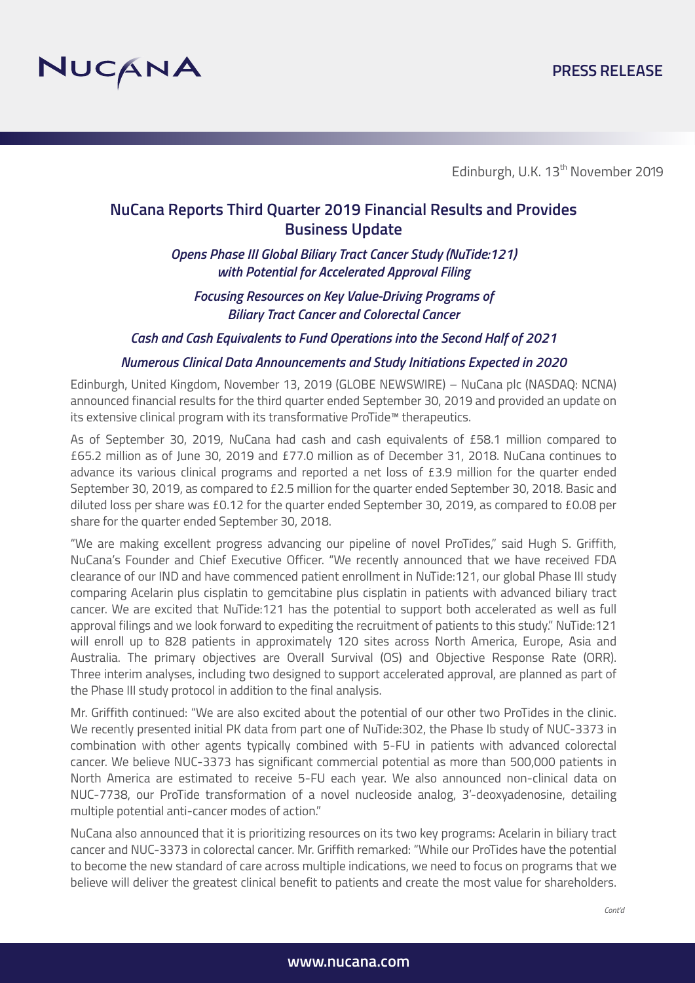

# **NuCana Reports Third Quarter 2019 Financial Results and Provides Business Update**

*Opens Phase III Global Biliary Tract Cancer Study (NuTide:121) with Potential for Accelerated Approval Filing*

*Focusing Resources on Key Value-Driving Programs of Biliary Tract Cancer and Colorectal Cancer*

*Cash and Cash Equivalents to Fund Operations into the Second Half of 2021*

#### *Numerous Clinical Data Announcements and Study Initiations Expected in 2020*

Edinburgh, United Kingdom, November 13, 2019 (GLOBE NEWSWIRE) – NuCana plc (NASDAQ: NCNA) announced financial results for the third quarter ended September 30, 2019 and provided an update on its extensive clinical program with its transformative ProTide™ therapeutics.

As of September 30, 2019, NuCana had cash and cash equivalents of £58.1 million compared to £65.2 million as of June 30, 2019 and £77.0 million as of December 31, 2018. NuCana continues to advance its various clinical programs and reported a net loss of £3.9 million for the quarter ended September 30, 2019, as compared to £2.5 million for the quarter ended September 30, 2018. Basic and diluted loss per share was £0.12 for the quarter ended September 30, 2019, as compared to £0.08 per share for the quarter ended September 30, 2018.

"We are making excellent progress advancing our pipeline of novel ProTides," said Hugh S. Griffith, NuCana's Founder and Chief Executive Officer. "We recently announced that we have received FDA clearance of our IND and have commenced patient enrollment in NuTide:121, our global Phase III study comparing Acelarin plus cisplatin to gemcitabine plus cisplatin in patients with advanced biliary tract cancer. We are excited that NuTide:121 has the potential to support both accelerated as well as full approval filings and we look forward to expediting the recruitment of patients to this study." NuTide:121 will enroll up to 828 patients in approximately 120 sites across North America, Europe, Asia and Australia. The primary objectives are Overall Survival (OS) and Objective Response Rate (ORR). Three interim analyses, including two designed to support accelerated approval, are planned as part of the Phase III study protocol in addition to the final analysis.

Mr. Griffith continued: "We are also excited about the potential of our other two ProTides in the clinic. We recently presented initial PK data from part one of NuTide:302, the Phase Ib study of NUC-3373 in combination with other agents typically combined with 5-FU in patients with advanced colorectal cancer. We believe NUC-3373 has significant commercial potential as more than 500,000 patients in North America are estimated to receive 5-FU each year. We also announced non-clinical data on NUC-7738, our ProTide transformation of a novel nucleoside analog, 3'-deoxyadenosine, detailing multiple potential anti-cancer modes of action."

NuCana also announced that it is prioritizing resources on its two key programs: Acelarin in biliary tract cancer and NUC-3373 in colorectal cancer. Mr. Griffith remarked: "While our ProTides have the potential to become the new standard of care across multiple indications, we need to focus on programs that we believe will deliver the greatest clinical benefit to patients and create the most value for shareholders.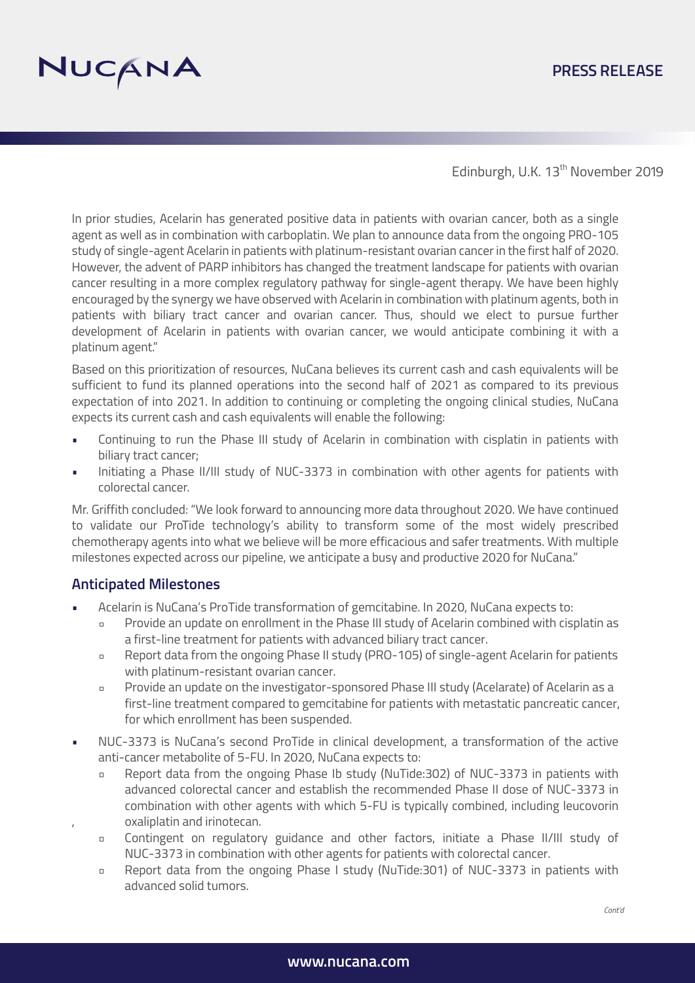# NUCANA

# **PRESS RELEASE**

Edinburgh, U.K. 13<sup>th</sup> November 2019

In prior studies, Acelarin has generated positive data in patients with ovarian cancer, both as a single agent as well as in combination with carboplatin. We plan to announce data from the ongoing PRO-105 study of single-agent Acelarin in patients with platinum-resistant ovarian cancer in the first half of 2020. However, the advent of PARP inhibitors has changed the treatment landscape for patients with ovarian cancer resulting in a more complex regulatory pathway for single-agent therapy. We have been highly encouraged by the synergy we have observed with Acelarin in combination with platinum agents, both in patients with biliary tract cancer and ovarian cancer. Thus, should we elect to pursue further development of Acelarin in patients with ovarian cancer, we would anticipate combining it with a platinum agent."

Based on this prioritization of resources, NuCana believes its current cash and cash equivalents will be sufficient to fund its planned operations into the second half of 2021 as compared to its previous expectation of into 2021. In addition to continuing or completing the ongoing clinical studies, NuCana expects its current cash and cash equivalents will enable the following:

- Continuing to run the Phase III study of Acelarin in combination with cisplatin in patients with biliary tract cancer;
- Initiating a Phase II/III study of NUC-3373 in combination with other agents for patients with colorectal cancer.

Mr. Griffith concluded: "We look forward to announcing more data throughout 2020. We have continued to validate our ProTide technology's ability to transform some of the most widely prescribed chemotherapy agents into what we believe will be more efficacious and safer treatments. With multiple milestones expected across our pipeline, we anticipate a busy and productive 2020 for NuCana."

#### **Anticipated Milestones**

- Acelarin is NuCana's ProTide transformation of gemcitabine. In 2020, NuCana expects to:
	- Provide an update on enrollment in the Phase III study of Acelarin combined with cisplatin as  $\blacksquare$ a first-line treatment for patients with advanced biliary tract cancer.
	- $\overline{a}$ Report data from the ongoing Phase II study (PRO-105) of single-agent Acelarin for patients with platinum-resistant ovarian cancer.
	- Provide an update on the investigator-sponsored Phase III study (Acelarate) of Acelarin as a  $\Box$  first-line treatment compared to gemcitabine for patients with metastatic pancreatic cancer, for which enrollment has been suspended.
- NUC-3373 is NuCana's second ProTide in clinical development, a transformation of the active anti-cancer metabolite of 5-FU. In 2020, NuCana expects to:
	- Report data from the ongoing Phase Ib study (NuTide:302) of NUC-3373 in patients with advanced colorectal cancer and establish the recommended Phase II dose of NUC-3373 in combination with other agents with which 5-FU is typically combined, including leucovorin , oxaliplatin and irinotecan.
	- Contingent on regulatory guidance and other factors, initiate a Phase II/III study of  $\Box$ NUC-3373 in combination with other agents for patients with colorectal cancer.
	- Report data from the ongoing Phase I study (NuTide:301) of NUC-3373 in patients with  $\Box$ advanced solid tumors.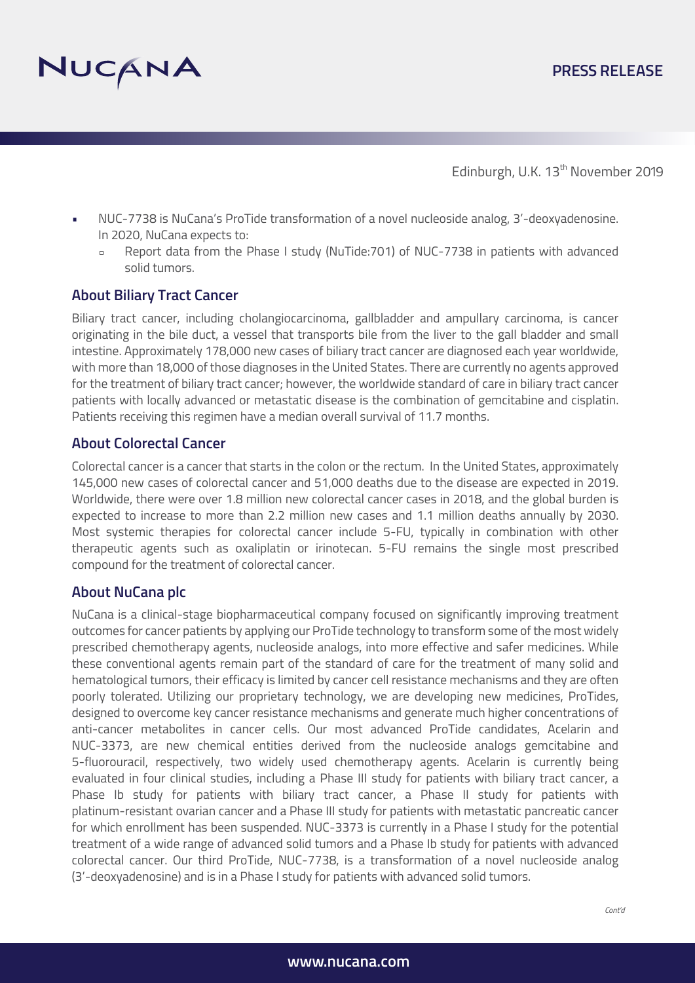

- NUC-7738 is NuCana's ProTide transformation of a novel nucleoside analog, 3'-deoxyadenosine. In 2020, NuCana expects to:
	- Report data from the Phase I study (NuTide:701) of NUC-7738 in patients with advanced solid tumors.

#### **About Biliary Tract Cancer**

Biliary tract cancer, including cholangiocarcinoma, gallbladder and ampullary carcinoma, is cancer originating in the bile duct, a vessel that transports bile from the liver to the gall bladder and small intestine. Approximately 178,000 new cases of biliary tract cancer are diagnosed each year worldwide, with more than 18,000 of those diagnoses in the United States. There are currently no agents approved for the treatment of biliary tract cancer; however, the worldwide standard of care in biliary tract cancer patients with locally advanced or metastatic disease is the combination of gemcitabine and cisplatin. Patients receiving this regimen have a median overall survival of 11.7 months.

#### **About Colorectal Cancer**

Colorectal cancer is a cancer that starts in the colon or the rectum. In the United States, approximately 145,000 new cases of colorectal cancer and 51,000 deaths due to the disease are expected in 2019. Worldwide, there were over 1.8 million new colorectal cancer cases in 2018, and the global burden is expected to increase to more than 2.2 million new cases and 1.1 million deaths annually by 2030. Most systemic therapies for colorectal cancer include 5-FU, typically in combination with other therapeutic agents such as oxaliplatin or irinotecan. 5-FU remains the single most prescribed compound for the treatment of colorectal cancer.

#### **About NuCana plc**

NuCana is a clinical-stage biopharmaceutical company focused on significantly improving treatment outcomes for cancer patients by applying our ProTide technology to transform some of the most widely prescribed chemotherapy agents, nucleoside analogs, into more effective and safer medicines. While these conventional agents remain part of the standard of care for the treatment of many solid and hematological tumors, their efficacy is limited by cancer cell resistance mechanisms and they are often poorly tolerated. Utilizing our proprietary technology, we are developing new medicines, ProTides, designed to overcome key cancer resistance mechanisms and generate much higher concentrations of anti-cancer metabolites in cancer cells. Our most advanced ProTide candidates, Acelarin and NUC-3373, are new chemical entities derived from the nucleoside analogs gemcitabine and 5-fluorouracil, respectively, two widely used chemotherapy agents. Acelarin is currently being evaluated in four clinical studies, including a Phase III study for patients with biliary tract cancer, a Phase Ib study for patients with biliary tract cancer, a Phase II study for patients with platinum-resistant ovarian cancer and a Phase III study for patients with metastatic pancreatic cancer for which enrollment has been suspended. NUC-3373 is currently in a Phase I study for the potential treatment of a wide range of advanced solid tumors and a Phase Ib study for patients with advanced colorectal cancer. Our third ProTide, NUC-7738, is a transformation of a novel nucleoside analog (3'-deoxyadenosine) and is in a Phase I study for patients with advanced solid tumors.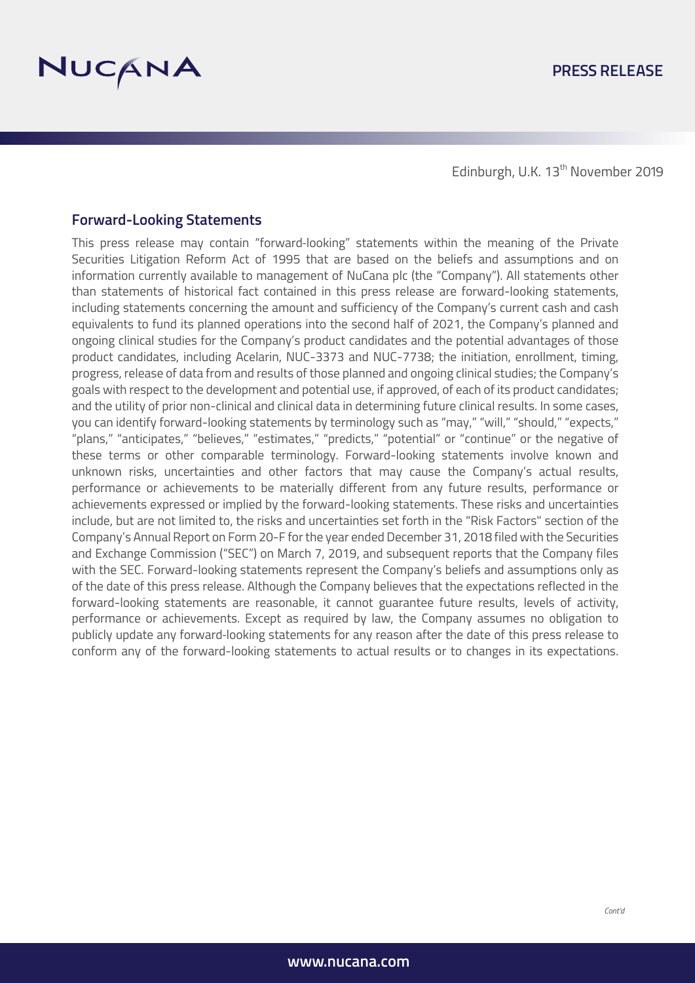

#### **Forward-Looking Statements**

This press release may contain "forward-looking" statements within the meaning of the Private Securities Litigation Reform Act of 1995 that are based on the beliefs and assumptions and on information currently available to management of NuCana plc (the "Company"). All statements other than statements of historical fact contained in this press release are forward-looking statements, including statements concerning the amount and sufficiency of the Company's current cash and cash equivalents to fund its planned operations into the second half of 2021, the Company's planned and ongoing clinical studies for the Company's product candidates and the potential advantages of those product candidates, including Acelarin, NUC-3373 and NUC-7738; the initiation, enrollment, timing, progress, release of data from and results of those planned and ongoing clinical studies; the Company's goals with respect to the development and potential use, if approved, of each of its product candidates; and the utility of prior non-clinical and clinical data in determining future clinical results. In some cases, you can identify forward-looking statements by terminology such as "may," "will," "should," "expects," "plans," "anticipates," "believes," "estimates," "predicts," "potential" or "continue" or the negative of these terms or other comparable terminology. Forward-looking statements involve known and unknown risks, uncertainties and other factors that may cause the Company's actual results, performance or achievements to be materially different from any future results, performance or achievements expressed or implied by the forward-looking statements. These risks and uncertainties include, but are not limited to, the risks and uncertainties set forth in the "Risk Factors" section of the Company's Annual Report on Form 20-F for the year ended December 31, 2018 filed with the Securities and Exchange Commission ("SEC") on March 7, 2019, and subsequent reports that the Company files with the SEC. Forward-looking statements represent the Company's beliefs and assumptions only as of the date of this press release. Although the Company believes that the expectations reflected in the forward-looking statements are reasonable, it cannot guarantee future results, levels of activity, performance or achievements. Except as required by law, the Company assumes no obligation to publicly update any forward‐looking statements for any reason after the date of this press release to conform any of the forward-looking statements to actual results or to changes in its expectations.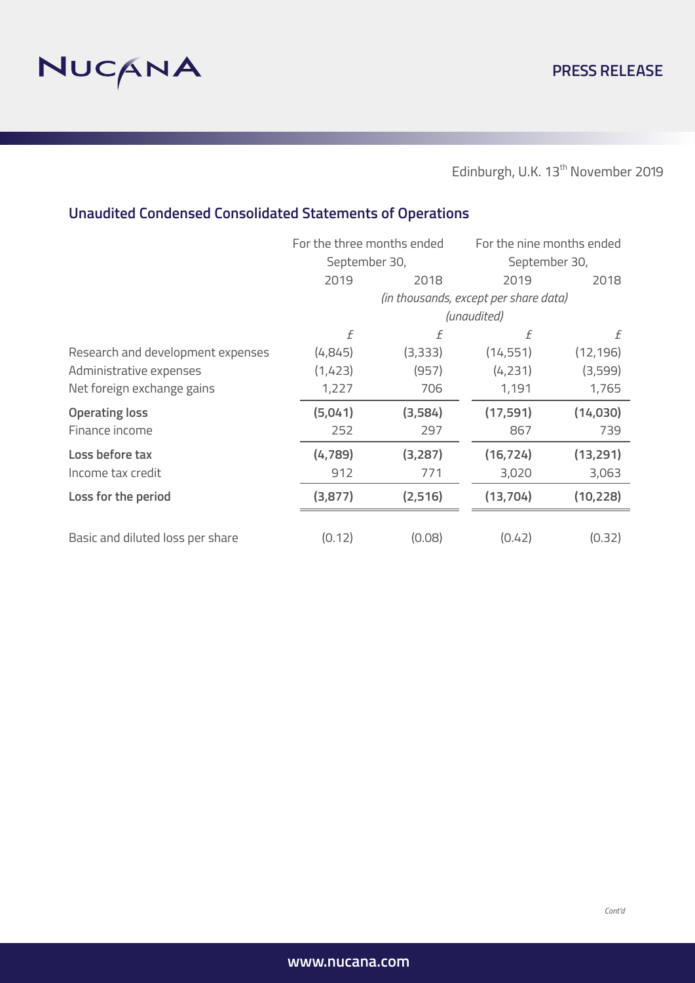

# **Unaudited Condensed Consolidated Statements of Operations**

|                                   | For the three months ended<br>September 30, |                                       | For the nine months ended |           |  |
|-----------------------------------|---------------------------------------------|---------------------------------------|---------------------------|-----------|--|
|                                   |                                             |                                       | September 30,             |           |  |
|                                   | 2019                                        | 2018                                  | 2019                      | 2018      |  |
|                                   |                                             | (in thousands, except per share data) |                           |           |  |
|                                   |                                             | (unaudited)                           |                           |           |  |
|                                   | f                                           | f                                     | f                         | f         |  |
| Research and development expenses | (4,845)                                     | (3,333)                               | (14, 551)                 | (12, 196) |  |
| Administrative expenses           | (1,423)                                     | (957)                                 | (4,231)                   | (3,599)   |  |
| Net foreign exchange gains        | 1,227                                       | 706                                   | 1,191                     | 1,765     |  |
| <b>Operating loss</b>             | (5,041)                                     | (3,584)                               | (17, 591)                 | (14,030)  |  |
| Finance income                    | 252                                         | 297                                   | 867                       | 739       |  |
| Loss before tax                   | (4, 789)                                    | (3,287)                               | (16, 724)                 | (13, 291) |  |
| Income tax credit                 | 912                                         | 771                                   | 3,020                     | 3,063     |  |
| Loss for the period               | (3,877)                                     | (2, 516)                              | (13, 704)                 | (10, 228) |  |
|                                   |                                             |                                       |                           |           |  |
| Basic and diluted loss per share  | (0.12)                                      | (0.08)                                | (0.42)                    | (0.32)    |  |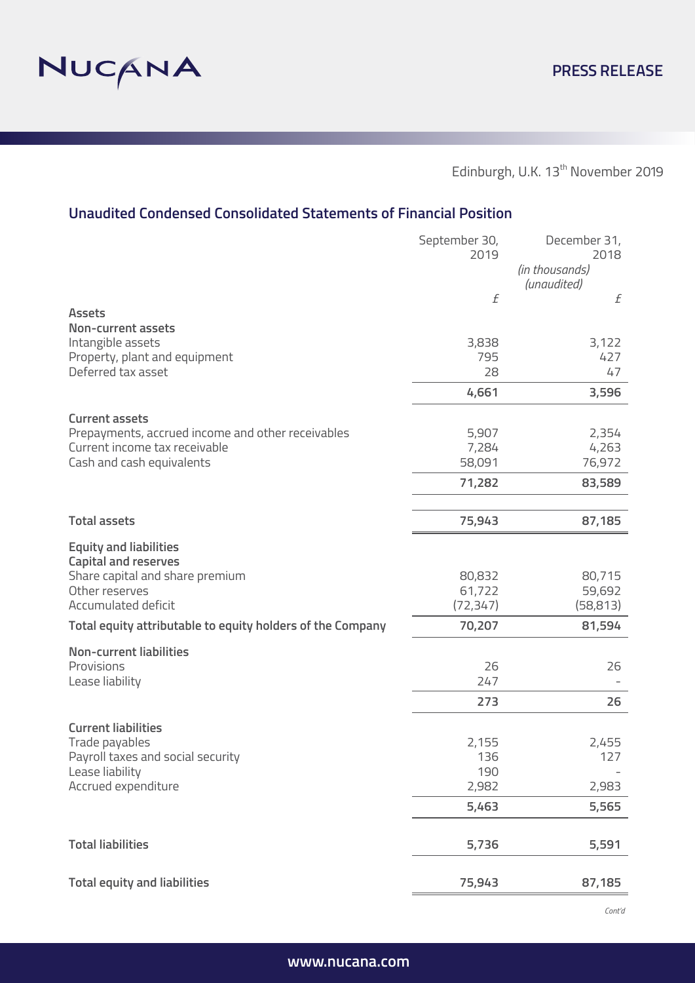

# **Unaudited Condensed Consolidated Statements of Financial Position**

|                                                                            | September 30,<br>2019 | December 31,<br>2018<br>(in thousands) |
|----------------------------------------------------------------------------|-----------------------|----------------------------------------|
|                                                                            | f                     | (unaudited)<br>£                       |
| <b>Assets</b>                                                              |                       |                                        |
| <b>Non-current assets</b><br>Intangible assets                             | 3,838                 | 3,122                                  |
| Property, plant and equipment                                              | 795                   | 427                                    |
| Deferred tax asset                                                         | 28                    | 47                                     |
|                                                                            | 4,661                 | 3,596                                  |
| <b>Current assets</b><br>Prepayments, accrued income and other receivables | 5,907                 | 2,354                                  |
| Current income tax receivable                                              | 7,284                 | 4,263                                  |
| Cash and cash equivalents                                                  | 58,091                | 76,972                                 |
|                                                                            | 71,282                | 83,589                                 |
|                                                                            |                       |                                        |
| <b>Total assets</b>                                                        | 75,943                | 87,185                                 |
| <b>Equity and liabilities</b><br><b>Capital and reserves</b>               |                       |                                        |
| Share capital and share premium                                            | 80,832                | 80,715                                 |
| Other reserves<br>Accumulated deficit                                      | 61,722<br>(72, 347)   | 59,692<br>(58, 813)                    |
| Total equity attributable to equity holders of the Company                 | 70,207                | 81,594                                 |
|                                                                            |                       |                                        |
| <b>Non-current liabilities</b><br>Provisions                               | 26                    | 26                                     |
| Lease liability                                                            | 247                   |                                        |
|                                                                            | 273                   | 26                                     |
| <b>Current liabilities</b>                                                 |                       |                                        |
| Trade payables                                                             | 2,155                 | 2,455                                  |
| Payroll taxes and social security<br>Lease liability                       | 136<br>190            | 127                                    |
| Accrued expenditure                                                        | 2,982                 | 2,983                                  |
|                                                                            | 5,463                 | 5,565                                  |
| <b>Total liabilities</b>                                                   | 5,736                 | 5,591                                  |
| <b>Total equity and liabilities</b>                                        | 75,943                | 87,185                                 |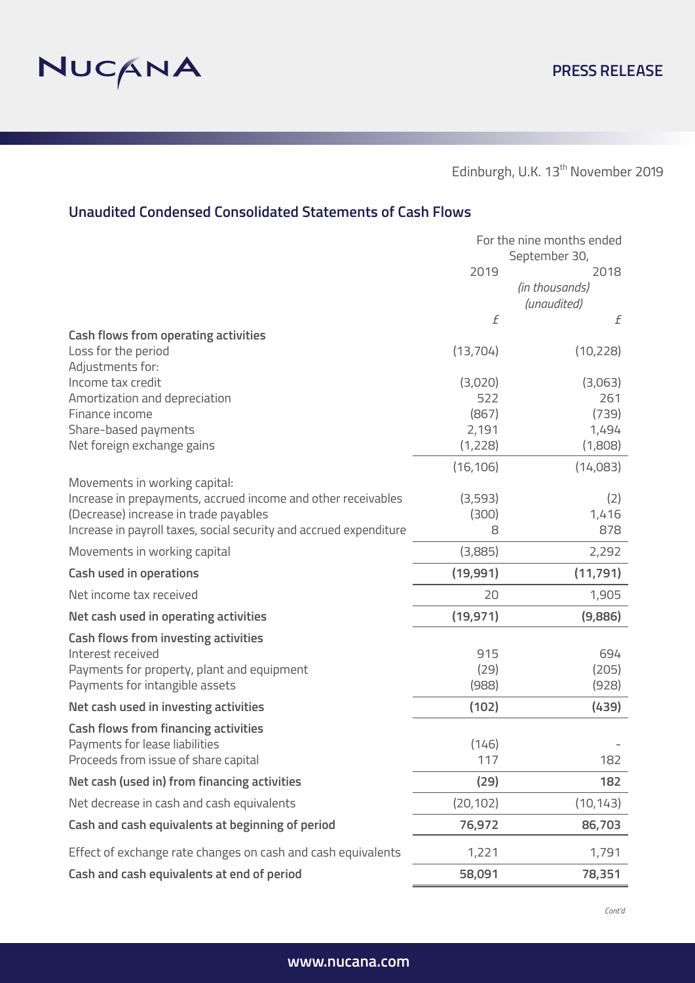

# **Unaudited Condensed Consolidated Statements of Cash Flows**

|                                                                    | For the nine months ended |                               |
|--------------------------------------------------------------------|---------------------------|-------------------------------|
|                                                                    | 2019                      | September 30,<br>2018         |
|                                                                    |                           | (in thousands)<br>(unaudited) |
|                                                                    | $\boldsymbol{f}$          | f                             |
| <b>Cash flows from operating activities</b>                        |                           |                               |
| Loss for the period                                                | (13, 704)                 | (10, 228)                     |
| Adjustments for:<br>Income tax credit                              | (3,020)                   | (3,063)                       |
| Amortization and depreciation                                      | 522                       | 261                           |
| Finance income                                                     | (867)                     | (739)                         |
| Share-based payments                                               | 2,191                     | 1,494                         |
| Net foreign exchange gains                                         | (1,228)                   | (1,808)                       |
|                                                                    | (16, 106)                 | (14,083)                      |
| Movements in working capital:                                      |                           |                               |
| Increase in prepayments, accrued income and other receivables      | (3,593)                   | (2)                           |
| (Decrease) increase in trade payables                              | (300)                     | 1,416                         |
| Increase in payroll taxes, social security and accrued expenditure | 8                         | 878                           |
| Movements in working capital                                       | (3,885)                   | 2,292                         |
| <b>Cash used in operations</b>                                     | (19,991)                  | (11, 791)                     |
| Net income tax received                                            | 20                        | 1,905                         |
| Net cash used in operating activities                              | (19, 971)                 | (9,886)                       |
| <b>Cash flows from investing activities</b>                        |                           |                               |
| Interest received                                                  | 915                       | 694                           |
| Payments for property, plant and equipment                         | (29)                      | (205)                         |
| Payments for intangible assets                                     | (988)                     | (928)                         |
| Net cash used in investing activities                              | (102)                     | (439)                         |
| <b>Cash flows from financing activities</b>                        |                           |                               |
| Payments for lease liabilities                                     | (146)                     |                               |
| Proceeds from issue of share capital                               | 117                       | 182                           |
| Net cash (used in) from financing activities                       | (29)                      | 182                           |
| Net decrease in cash and cash equivalents                          | (20, 102)                 | (10, 143)                     |
| Cash and cash equivalents at beginning of period                   | 76,972                    | 86,703                        |
| Effect of exchange rate changes on cash and cash equivalents       | 1,221                     | 1,791                         |
| Cash and cash equivalents at end of period                         | 58,091                    | 78,351                        |

*Cont'd*